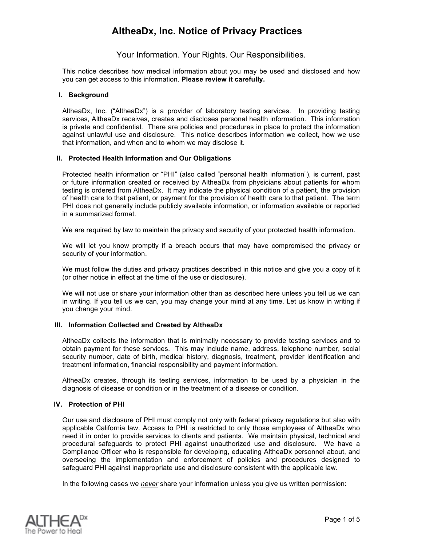### Your Information. Your Rights. Our Responsibilities.

This notice describes how medical information about you may be used and disclosed and how you can get access to this information. **Please review it carefully.**

#### **I. Background**

AltheaDx, Inc. ("AltheaDx") is a provider of laboratory testing services. In providing testing services, AltheaDx receives, creates and discloses personal health information. This information is private and confidential. There are policies and procedures in place to protect the information against unlawful use and disclosure. This notice describes information we collect, how we use that information, and when and to whom we may disclose it.

#### **II. Protected Health Information and Our Obligations**

Protected health information or "PHI" (also called "personal health information"), is current, past or future information created or received by AltheaDx from physicians about patients for whom testing is ordered from AltheaDx. It may indicate the physical condition of a patient, the provision of health care to that patient, or payment for the provision of health care to that patient. The term PHI does not generally include publicly available information, or information available or reported in a summarized format.

We are required by law to maintain the privacy and security of your protected health information.

We will let you know promptly if a breach occurs that may have compromised the privacy or security of your information.

We must follow the duties and privacy practices described in this notice and give you a copy of it (or other notice in effect at the time of the use or disclosure).

We will not use or share your information other than as described here unless you tell us we can in writing. If you tell us we can, you may change your mind at any time. Let us know in writing if you change your mind.

#### **III. Information Collected and Created by AltheaDx**

AltheaDx collects the information that is minimally necessary to provide testing services and to obtain payment for these services. This may include name, address, telephone number, social security number, date of birth, medical history, diagnosis, treatment, provider identification and treatment information, financial responsibility and payment information.

AltheaDx creates, through its testing services, information to be used by a physician in the diagnosis of disease or condition or in the treatment of a disease or condition.

#### **IV. Protection of PHI**

Our use and disclosure of PHI must comply not only with federal privacy regulations but also with applicable California law. Access to PHI is restricted to only those employees of AltheaDx who need it in order to provide services to clients and patients. We maintain physical, technical and procedural safeguards to protect PHI against unauthorized use and disclosure. We have a Compliance Officer who is responsible for developing, educating AltheaDx personnel about, and overseeing the implementation and enforcement of policies and procedures designed to safeguard PHI against inappropriate use and disclosure consistent with the applicable law.

In the following cases we *never* share your information unless you give us written permission:

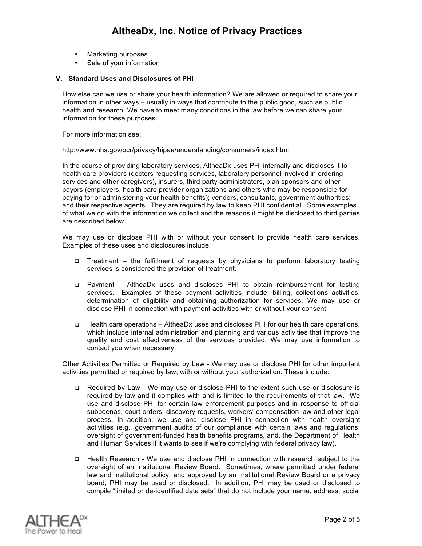- Marketing purposes
- Sale of your information

#### **V. Standard Uses and Disclosures of PHI**

How else can we use or share your health information? We are allowed or required to share your information in other ways – usually in ways that contribute to the public good, such as public health and research. We have to meet many conditions in the law before we can share your information for these purposes.

For more information see:

#### http://www.hhs.gov/ocr/privacy/hipaa/understanding/consumers/index.html

In the course of providing laboratory services, AltheaDx uses PHI internally and discloses it to health care providers (doctors requesting services, laboratory personnel involved in ordering services and other caregivers), insurers, third party administrators, plan sponsors and other payors (employers, health care provider organizations and others who may be responsible for paying for or administering your health benefits); vendors, consultants, government authorities; and their respective agents. They are required by law to keep PHI confidential. Some examples of what we do with the information we collect and the reasons it might be disclosed to third parties are described below.

We may use or disclose PHI with or without your consent to provide health care services. Examples of these uses and disclosures include:

- Treatment the fulfillment of requests by physicians to perform laboratory testing services is considered the provision of treatment.
- Payment AltheaDx uses and discloses PHI to obtain reimbursement for testing services. Examples of these payment activities include: billing, collections activities, determination of eligibility and obtaining authorization for services. We may use or disclose PHI in connection with payment activities with or without your consent.
- Health care operations AltheaDx uses and discloses PHI for our health care operations, which include internal administration and planning and various activities that improve the quality and cost effectiveness of the services provided. We may use information to contact you when necessary.

Other Activities Permitted or Required by Law - We may use or disclose PHI for other important activities permitted or required by law, with or without your authorization. These include:

- Required by Law We may use or disclose PHI to the extent such use or disclosure is required by law and it complies with and is limited to the requirements of that law. We use and disclose PHI for certain law enforcement purposes and in response to official subpoenas, court orders, discovery requests, workers' compensation law and other legal process. In addition, we use and disclose PHI in connection with health oversight activities (e.g., government audits of our compliance with certain laws and regulations; oversight of government-funded health benefits programs, and, the Department of Health and Human Services if it wants to see if we're complying with federal privacy law).
- Health Research We use and disclose PHI in connection with research subject to the oversight of an Institutional Review Board. Sometimes, where permitted under federal law and institutional policy, and approved by an Institutional Review Board or a privacy board, PHI may be used or disclosed. In addition, PHI may be used or disclosed to compile "limited or de-identified data sets" that do not include your name, address, social

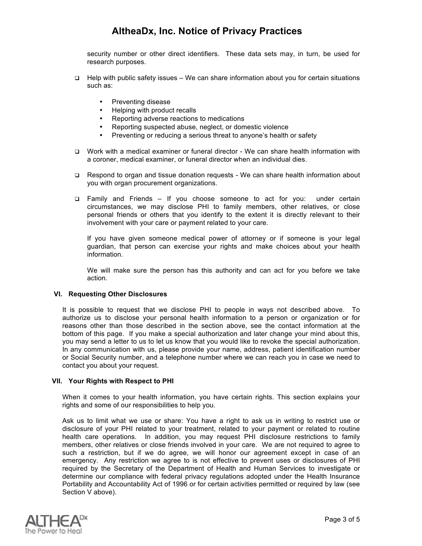security number or other direct identifiers. These data sets may, in turn, be used for research purposes.

- $\Box$  Help with public safety issues We can share information about you for certain situations such as:
	- Preventing disease<br>• Helping with produc
	- Helping with product recalls
	- Reporting adverse reactions to medications
	- Reporting suspected abuse, neglect, or domestic violence
	- Preventing or reducing a serious threat to anyone's health or safety
- Work with a medical examiner or funeral director We can share health information with a coroner, medical examiner, or funeral director when an individual dies.
- Respond to organ and tissue donation requests We can share health information about you with organ procurement organizations.
- Family and Friends If you choose someone to act for you: under certain circumstances, we may disclose PHI to family members, other relatives, or close personal friends or others that you identify to the extent it is directly relevant to their involvement with your care or payment related to your care.

If you have given someone medical power of attorney or if someone is your legal guardian, that person can exercise your rights and make choices about your health information.

We will make sure the person has this authority and can act for you before we take action.

#### **VI. Requesting Other Disclosures**

It is possible to request that we disclose PHI to people in ways not described above. To authorize us to disclose your personal health information to a person or organization or for reasons other than those described in the section above, see the contact information at the bottom of this page. If you make a special authorization and later change your mind about this, you may send a letter to us to let us know that you would like to revoke the special authorization. In any communication with us, please provide your name, address, patient identification number or Social Security number, and a telephone number where we can reach you in case we need to contact you about your request.

#### **VII. Your Rights with Respect to PHI**

When it comes to your health information, you have certain rights. This section explains your rights and some of our responsibilities to help you.

Ask us to limit what we use or share: You have a right to ask us in writing to restrict use or disclosure of your PHI related to your treatment, related to your payment or related to routine health care operations. In addition, you may request PHI disclosure restrictions to family members, other relatives or close friends involved in your care. We are not required to agree to such a restriction, but if we do agree, we will honor our agreement except in case of an emergency. Any restriction we agree to is not effective to prevent uses or disclosures of PHI required by the Secretary of the Department of Health and Human Services to investigate or determine our compliance with federal privacy regulations adopted under the Health Insurance Portability and Accountability Act of 1996 or for certain activities permitted or required by law (see Section V above).

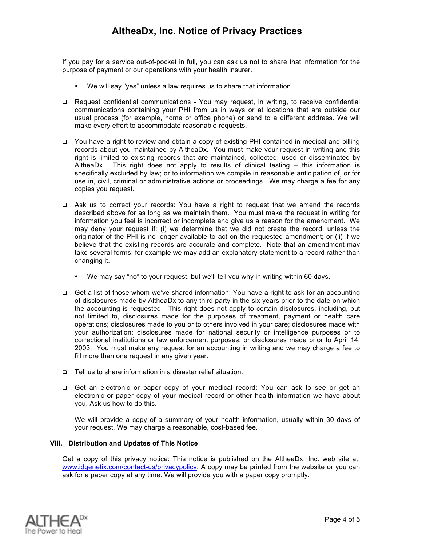If you pay for a service out-of-pocket in full, you can ask us not to share that information for the purpose of payment or our operations with your health insurer.

- We will say "yes" unless a law requires us to share that information.
- Request confidential communications You may request, in writing, to receive confidential communications containing your PHI from us in ways or at locations that are outside our usual process (for example, home or office phone) or send to a different address. We will make every effort to accommodate reasonable requests.
- You have a right to review and obtain a copy of existing PHI contained in medical and billing records about you maintained by AltheaDx. You must make your request in writing and this right is limited to existing records that are maintained, collected, used or disseminated by AltheaDx. This right does not apply to results of clinical testing – this information is specifically excluded by law; or to information we compile in reasonable anticipation of, or for use in, civil, criminal or administrative actions or proceedings. We may charge a fee for any copies you request.
- Ask us to correct your records: You have a right to request that we amend the records described above for as long as we maintain them. You must make the request in writing for information you feel is incorrect or incomplete and give us a reason for the amendment. We may deny your request if: (i) we determine that we did not create the record, unless the originator of the PHI is no longer available to act on the requested amendment; or (ii) if we believe that the existing records are accurate and complete. Note that an amendment may take several forms; for example we may add an explanatory statement to a record rather than changing it.
	- We may say "no" to your request, but we'll tell you why in writing within 60 days.
- Get a list of those whom we've shared information: You have a right to ask for an accounting of disclosures made by AltheaDx to any third party in the six years prior to the date on which the accounting is requested. This right does not apply to certain disclosures, including, but not limited to, disclosures made for the purposes of treatment, payment or health care operations; disclosures made to you or to others involved in your care; disclosures made with your authorization; disclosures made for national security or intelligence purposes or to correctional institutions or law enforcement purposes; or disclosures made prior to April 14, 2003. You must make any request for an accounting in writing and we may charge a fee to fill more than one request in any given year.
- □ Tell us to share information in a disaster relief situation.
- Get an electronic or paper copy of your medical record: You can ask to see or get an electronic or paper copy of your medical record or other health information we have about you. Ask us how to do this.

We will provide a copy of a summary of your health information, usually within 30 days of your request. We may charge a reasonable, cost-based fee.

### **VIII. Distribution and Updates of This Notice**

Get a copy of this privacy notice: This notice is published on the AltheaDx, Inc. web site at: www.idgenetix.com/contact-us/privacypolicy. A copy may be printed from the website or you can ask for a paper copy at any time. We will provide you with a paper copy promptly.